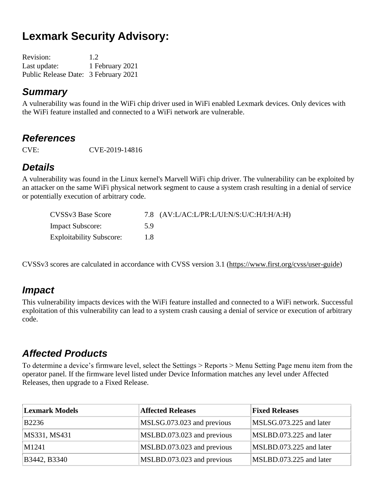# **Lexmark Security Advisory:**

| <b>Revision:</b>                     | 1.2             |
|--------------------------------------|-----------------|
| Last update:                         | 1 February 2021 |
| Public Release Date: 3 February 2021 |                 |

#### *Summary*

A vulnerability was found in the WiFi chip driver used in WiFi enabled Lexmark devices. Only devices with the WiFi feature installed and connected to a WiFi network are vulnerable.

#### *References*

CVE: CVE-2019-14816

### *Details*

A vulnerability was found in the Linux kernel's Marvell WiFi chip driver. The vulnerability can be exploited by an attacker on the same WiFi physical network segment to cause a system crash resulting in a denial of service or potentially execution of arbitrary code.

| CVSSv3 Base Score               |     | 7.8 $(AV:LAC:L/PR: L/UI:N/S:U/C:H/I:H/A:H)$ |
|---------------------------------|-----|---------------------------------------------|
| <b>Impact Subscore:</b>         | 59  |                                             |
| <b>Exploitability Subscore:</b> | 1.8 |                                             |

CVSSv3 scores are calculated in accordance with CVSS version 3.1 [\(https://www.first.org/cvss/user-guide\)](https://www.first.org/cvss/user-guide)

### *Impact*

This vulnerability impacts devices with the WiFi feature installed and connected to a WiFi network. Successful exploitation of this vulnerability can lead to a system crash causing a denial of service or execution of arbitrary code.

### *Affected Products*

To determine a device's firmware level, select the Settings > Reports > Menu Setting Page menu item from the operator panel. If the firmware level listed under Device Information matches any level under Affected Releases, then upgrade to a Fixed Release.

| <b>Lexmark Models</b> | <b>Affected Releases</b>   | <b>Fixed Releases</b>   |
|-----------------------|----------------------------|-------------------------|
| B2236                 | MSLSG.073.023 and previous | MSLSG.073.225 and later |
| MS331, MS431          | MSLBD.073.023 and previous | MSLBD.073.225 and later |
| $\vert M1241 \vert$   | MSLBD.073.023 and previous | MSLBD.073.225 and later |
| B3442, B3340          | MSLBD.073.023 and previous | MSLBD.073.225 and later |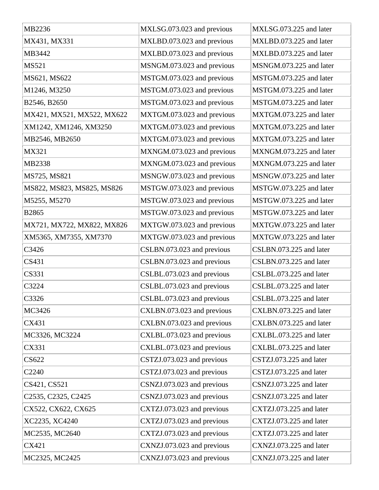| MB2236                                                    | MXLSG.073.023 and previous | MXLSG.073.225 and later |
|-----------------------------------------------------------|----------------------------|-------------------------|
| MX431, MX331                                              | MXLBD.073.023 and previous | MXLBD.073.225 and later |
| MB3442                                                    | MXLBD.073.023 and previous | MXLBD.073.225 and later |
| <b>MS521</b>                                              | MSNGM.073.023 and previous | MSNGM.073.225 and later |
| MS621, MS622                                              | MSTGM.073.023 and previous | MSTGM.073.225 and later |
| M1246, M3250                                              | MSTGM.073.023 and previous | MSTGM.073.225 and later |
| B2546, B2650                                              | MSTGM.073.023 and previous | MSTGM.073.225 and later |
| MX421, MX521, MX522, MX622                                | MXTGM.073.023 and previous | MXTGM.073.225 and later |
| XM1242, XM1246, XM3250                                    | MXTGM.073.023 and previous | MXTGM.073.225 and later |
| MB2546, MB2650                                            | MXTGM.073.023 and previous | MXTGM.073.225 and later |
| MX321                                                     | MXNGM.073.023 and previous | MXNGM.073.225 and later |
| MB2338                                                    | MXNGM.073.023 and previous | MXNGM.073.225 and later |
| MS725, MS821                                              | MSNGW.073.023 and previous | MSNGW.073.225 and later |
| MS822, MS823, MS825, MS826                                | MSTGW.073.023 and previous | MSTGW.073.225 and later |
| M5255, M5270                                              | MSTGW.073.023 and previous | MSTGW.073.225 and later |
| B2865                                                     | MSTGW.073.023 and previous | MSTGW.073.225 and later |
| MX721, MX722, MX822, MX826                                | MXTGW.073.023 and previous | MXTGW.073.225 and later |
| XM5365, XM7355, XM7370                                    | MXTGW.073.023 and previous | MXTGW.073.225 and later |
| C3426                                                     | CSLBN.073.023 and previous | CSLBN.073.225 and later |
| CS431                                                     | CSLBN.073.023 and previous | CSLBN.073.225 and later |
| <b>CS331</b>                                              | CSLBL.073.023 and previous | CSLBL.073.225 and later |
| C3224                                                     | CSLBL.073.023 and previous | CSLBL.073.225 and later |
| C3326                                                     | CSLBL.073.023 and previous | CSLBL.073.225 and later |
| MC3426                                                    | CXLBN.073.023 and previous | CXLBN.073.225 and later |
| CX431                                                     | CXLBN.073.023 and previous | CXLBN.073.225 and later |
| MC3326, MC3224                                            | CXLBL.073.023 and previous | CXLBL.073.225 and later |
| CX331                                                     | CXLBL.073.023 and previous | CXLBL.073.225 and later |
| CS622                                                     | CSTZJ.073.023 and previous | CSTZJ.073.225 and later |
| C2240                                                     | CSTZJ.073.023 and previous | CSTZJ.073.225 and later |
| CS421, CS521                                              | CSNZJ.073.023 and previous | CSNZJ.073.225 and later |
| C <sub>2535</sub> , C <sub>2325</sub> , C <sub>2425</sub> | CSNZJ.073.023 and previous | CSNZJ.073.225 and later |
| CX522, CX622, CX625                                       | CXTZJ.073.023 and previous | CXTZJ.073.225 and later |
| XC2235, XC4240                                            | CXTZJ.073.023 and previous | CXTZJ.073.225 and later |
| MC2535, MC2640                                            | CXTZJ.073.023 and previous | CXTZJ.073.225 and later |
| CX421                                                     | CXNZJ.073.023 and previous | CXNZJ.073.225 and later |
| MC2325, MC2425                                            | CXNZJ.073.023 and previous | CXNZJ.073.225 and later |